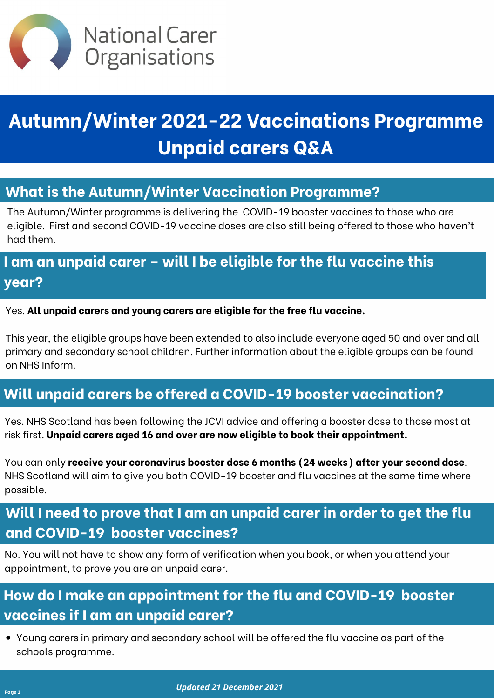

# **Autumn/Winter 2021-22 Vaccinations Programme Unpaid carers Q&A**

#### Yes. **All unpaid carers and young carers are eligible for the free flu vaccine.**

This year, the eligible groups have been extended to also include everyone aged 50 and over and all primary and secondary school children. Further information about the eligible groups can be found on NHS Inform.

#### **Will unpaid carers be offered a COVID-19 booster vaccination?**

Yes. NHS Scotland has been following the JCVI advice and offering a booster dose to those most at risk first. **Unpaid carers aged 16 and over are now eligible to book their appointment.**

You can only **receive your coronavirus booster dose 6 months (24 weeks) after your second dose**. NHS Scotland will aim to give you both COVID-19 booster and flu vaccines at the same time where possible.

# **I am an unpaid carer – will I be eligible for the flu vaccine this year?**

### **What is the Autumn/Winter Vaccination Programme?**

The Autumn/Winter programme is delivering the COVID-19 booster vaccines to those who are eligible. First and second COVID-19 vaccine doses are also still being offered to those who haven't had them.

## **Will I need to prove that I am an unpaid carer in order to get the flu and COVID-19 booster vaccines?**

No. You will not have to show any form of verification when you book, or when you attend your appointment, to prove you are an unpaid carer.

# **How do I make an appointment for the flu and COVID-19 booster vaccines if I am an unpaid carer?**

Young carers in primary and secondary school will be offered the flu vaccine as part of the schools programme.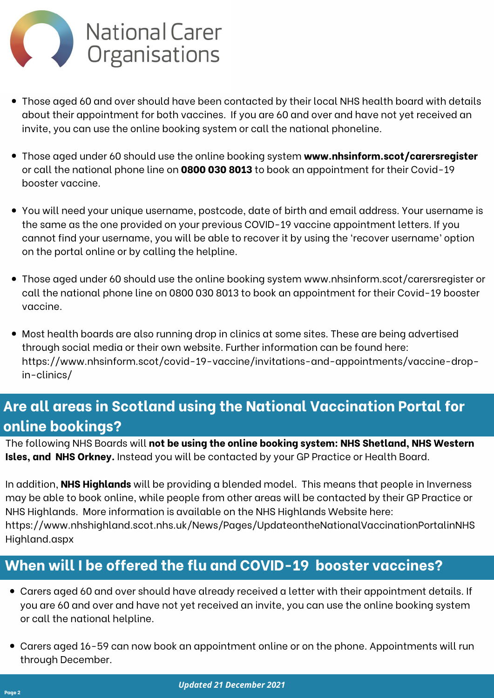#### **When will I be offered the flu and COVID-19 booster vaccines?**

- Carers aged 60 and over should have already received a letter with their appointment details. If  $\bullet$ you are 60 and over and have not yet received an invite, you can use the online booking system or call the national helpline.
- Carers aged 16-59 can now book an appointment online or on the phone. Appointments will run  $\bullet$ through December.



- Those aged 60 and over should have been contacted by their local NHS health board with details about their appointment for both vaccines. If you are 60 and over and have not yet received an invite, you can use the online booking system or call the national phoneline.
- **What is the Autumn/Winter Vaccination Programme?** Those aged under 60 should use the online booking system **[www.nhsinform.scot/carersregister](http://www.nhsinform.scot/carersregister)** or call the national phone line on **0800 030 8013** to book an appointment for their Covid-19 booster vaccine.
	- You will need your unique username, postcode, date of birth and email address. Your username is the same as the one provided on your previous COVID-19 vaccine appointment letters. If you cannot find your username, you will be able to recover it by using the 'recover username' option on the portal online or by calling the helpline.
	- Those aged under 60 should use the online booking system www.nhsinform.scot/carersregister or call the national phone line on 0800 030 8013 to book an appointment for their Covid-19 booster vaccine.
	- Most health boards are also running drop in clinics at some sites. These are being advertised through social media or their own website. Further information can be found here: https://www.nhsinform.scot/covid-19-vaccine/invitations-and-appointments/vaccine-drop-

The following NHS Boards will **not be using the online booking system: NHS Shetland, NHS Western Isles, and NHS Orkney.** Instead you will be contacted by your GP Practice or Health Board.

In addition, **NHS Highlands** will be providing a blended model. This means that people in Inverness may be able to book online, while people from other areas will be contacted by their GP Practice or NHS Highlands. More information is available on the NHS Highlands Website here: https://www.nhshighland.scot.nhs.uk/News/Pages/UpdateontheNationalVaccinationPortalinNHS Highland.aspx

# **Are all areas in Scotland using the National Vaccination Portal for online bookings?**